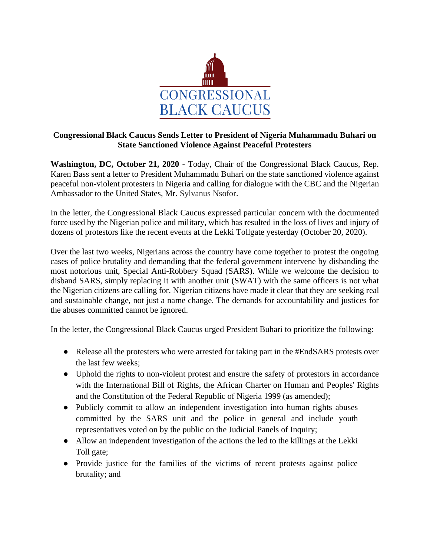

## **Congressional Black Caucus Sends Letter to President of Nigeria Muhammadu Buhari on State Sanctioned Violence Against Peaceful Protesters**

**Washington, DC, October 21, 2020** - Today, Chair of the Congressional Black Caucus, Rep. Karen Bass sent a letter to President Muhammadu Buhari on the state sanctioned violence against peaceful non-violent protesters in Nigeria and calling for dialogue with the CBC and the Nigerian Ambassador to the United States, Mr. Sylvanus Nsofor.

In the letter, the Congressional Black Caucus expressed particular concern with the documented force used by the Nigerian police and military, which has resulted in the loss of lives and injury of dozens of protestors like the recent events at the Lekki Tollgate yesterday (October 20, 2020).

Over the last two weeks, Nigerians across the country have come together to protest the ongoing cases of police brutality and demanding that the federal government intervene by disbanding the most notorious unit, Special Anti-Robbery Squad (SARS). While we welcome the decision to disband SARS, simply replacing it with another unit (SWAT) with the same officers is not what the Nigerian citizens are calling for. Nigerian citizens have made it clear that they are seeking real and sustainable change, not just a name change. The demands for accountability and justices for the abuses committed cannot be ignored.

In the letter, the Congressional Black Caucus urged President Buhari to prioritize the following:

- Release all the protesters who were arrested for taking part in the #EndSARS protests over the last few weeks;
- Uphold the rights to non-violent protest and ensure the safety of protestors in accordance with the International Bill of Rights, the African Charter on Human and Peoples' Rights and the Constitution of the Federal Republic of Nigeria 1999 (as amended);
- Publicly commit to allow an independent investigation into human rights abuses committed by the SARS unit and the police in general and include youth representatives voted on by the public on the Judicial Panels of Inquiry;
- Allow an independent investigation of the actions the led to the killings at the Lekki Toll gate;
- Provide justice for the families of the victims of recent protests against police brutality; and